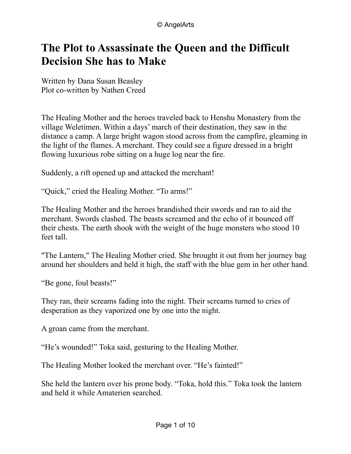## **The Plot to Assassinate the Queen and the Difficult Decision She has to Make**

Written by Dana Susan Beasley Plot co-written by Nathen Creed

The Healing Mother and the heroes traveled back to Henshu Monastery from the village Weletimen. Within a days' march of their destination, they saw in the distance a camp. A large bright wagon stood across from the campfire, gleaming in the light of the flames. A merchant. They could see a figure dressed in a bright flowing luxurious robe sitting on a huge log near the fire.

Suddenly, a rift opened up and attacked the merchant!

"Quick," cried the Healing Mother. "To arms!"

The Healing Mother and the heroes brandished their swords and ran to aid the merchant. Swords clashed. The beasts screamed and the echo of it bounced off their chests. The earth shook with the weight of the huge monsters who stood 10 feet tall.

"The Lantern," The Healing Mother cried. She brought it out from her journey bag around her shoulders and held it high, the staff with the blue gem in her other hand.

"Be gone, foul beasts!"

They ran, their screams fading into the night. Their screams turned to cries of desperation as they vaporized one by one into the night.

A groan came from the merchant.

"He's wounded!" Toka said, gesturing to the Healing Mother.

The Healing Mother looked the merchant over. "He's fainted!"

She held the lantern over his prone body. "Toka, hold this." Toka took the lantern and held it while Amaterien searched.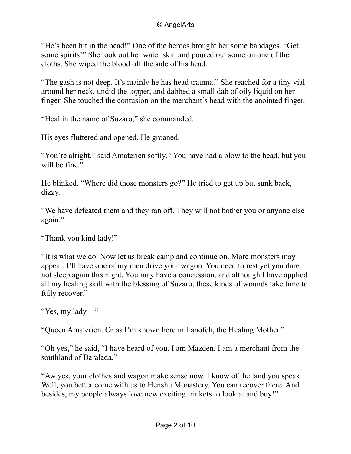"He's been hit in the head!" One of the heroes brought her some bandages. "Get some spirits!" She took out her water skin and poured out some on one of the cloths. She wiped the blood off the side of his head.

"The gash is not deep. It's mainly he has head trauma." She reached for a tiny vial around her neck, undid the topper, and dabbed a small dab of oily liquid on her finger. She touched the contusion on the merchant's head with the anointed finger.

"Heal in the name of Suzaro," she commanded.

His eyes fluttered and opened. He groaned.

"You're alright," said Amaterien softly. "You have had a blow to the head, but you will be fine."

He blinked. "Where did those monsters go?" He tried to get up but sunk back, dizzy.

"We have defeated them and they ran off. They will not bother you or anyone else again."

"Thank you kind lady!"

"It is what we do. Now let us break camp and continue on. More monsters may appear. I'll have one of my men drive your wagon. You need to rest yet you dare not sleep again this night. You may have a concussion, and although I have applied all my healing skill with the blessing of Suzaro, these kinds of wounds take time to fully recover."

"Yes, my lady—"

"Queen Amaterien. Or as I'm known here in Lanofeh, the Healing Mother."

"Oh yes," he said, "I have heard of you. I am Mazden. I am a merchant from the southland of Baralada."

"Aw yes, your clothes and wagon make sense now. I know of the land you speak. Well, you better come with us to Henshu Monastery. You can recover there. And besides, my people always love new exciting trinkets to look at and buy!"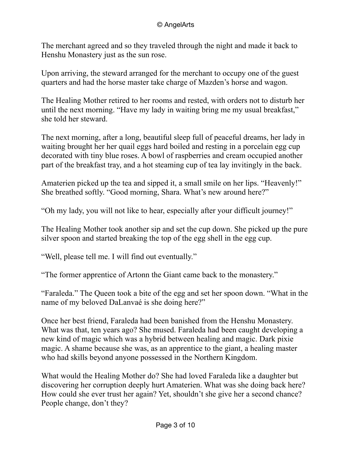The merchant agreed and so they traveled through the night and made it back to Henshu Monastery just as the sun rose.

Upon arriving, the steward arranged for the merchant to occupy one of the guest quarters and had the horse master take charge of Mazden's horse and wagon.

The Healing Mother retired to her rooms and rested, with orders not to disturb her until the next morning. "Have my lady in waiting bring me my usual breakfast," she told her steward.

The next morning, after a long, beautiful sleep full of peaceful dreams, her lady in waiting brought her her quail eggs hard boiled and resting in a porcelain egg cup decorated with tiny blue roses. A bowl of raspberries and cream occupied another part of the breakfast tray, and a hot steaming cup of tea lay invitingly in the back.

Amaterien picked up the tea and sipped it, a small smile on her lips. "Heavenly!" She breathed softly. "Good morning, Shara. What's new around here?"

"Oh my lady, you will not like to hear, especially after your difficult journey!"

The Healing Mother took another sip and set the cup down. She picked up the pure silver spoon and started breaking the top of the egg shell in the egg cup.

"Well, please tell me. I will find out eventually."

"The former apprentice of Artonn the Giant came back to the monastery."

"Faraleda." The Queen took a bite of the egg and set her spoon down. "What in the name of my beloved DaLanvaé is she doing here?"

Once her best friend, Faraleda had been banished from the Henshu Monastery. What was that, ten years ago? She mused. Faraleda had been caught developing a new kind of magic which was a hybrid between healing and magic. Dark pixie magic. A shame because she was, as an apprentice to the giant, a healing master who had skills beyond anyone possessed in the Northern Kingdom.

What would the Healing Mother do? She had loved Faraleda like a daughter but discovering her corruption deeply hurt Amaterien. What was she doing back here? How could she ever trust her again? Yet, shouldn't she give her a second chance? People change, don't they?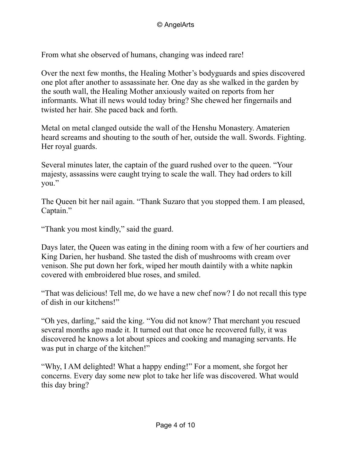From what she observed of humans, changing was indeed rare!

Over the next few months, the Healing Mother's bodyguards and spies discovered one plot after another to assassinate her. One day as she walked in the garden by the south wall, the Healing Mother anxiously waited on reports from her informants. What ill news would today bring? She chewed her fingernails and twisted her hair. She paced back and forth.

Metal on metal clanged outside the wall of the Henshu Monastery. Amaterien heard screams and shouting to the south of her, outside the wall. Swords. Fighting. Her royal guards.

Several minutes later, the captain of the guard rushed over to the queen. "Your majesty, assassins were caught trying to scale the wall. They had orders to kill you."

The Queen bit her nail again. "Thank Suzaro that you stopped them. I am pleased, Captain."

"Thank you most kindly," said the guard.

Days later, the Queen was eating in the dining room with a few of her courtiers and King Darien, her husband. She tasted the dish of mushrooms with cream over venison. She put down her fork, wiped her mouth daintily with a white napkin covered with embroidered blue roses, and smiled.

"That was delicious! Tell me, do we have a new chef now? I do not recall this type of dish in our kitchens!"

"Oh yes, darling," said the king. "You did not know? That merchant you rescued several months ago made it. It turned out that once he recovered fully, it was discovered he knows a lot about spices and cooking and managing servants. He was put in charge of the kitchen!"

"Why, I AM delighted! What a happy ending!" For a moment, she forgot her concerns. Every day some new plot to take her life was discovered. What would this day bring?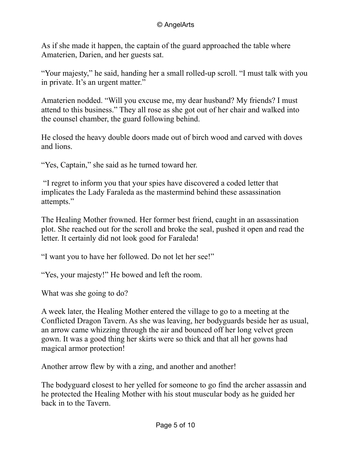As if she made it happen, the captain of the guard approached the table where Amaterien, Darien, and her guests sat.

"Your majesty," he said, handing her a small rolled-up scroll. "I must talk with you in private. It's an urgent matter."

Amaterien nodded. "Will you excuse me, my dear husband? My friends? I must attend to this business." They all rose as she got out of her chair and walked into the counsel chamber, the guard following behind.

He closed the heavy double doors made out of birch wood and carved with doves and lions.

"Yes, Captain," she said as he turned toward her.

 "I regret to inform you that your spies have discovered a coded letter that implicates the Lady Faraleda as the mastermind behind these assassination attempts."

The Healing Mother frowned. Her former best friend, caught in an assassination plot. She reached out for the scroll and broke the seal, pushed it open and read the letter. It certainly did not look good for Faraleda!

"I want you to have her followed. Do not let her see!"

"Yes, your majesty!" He bowed and left the room.

What was she going to do?

A week later, the Healing Mother entered the village to go to a meeting at the Conflicted Dragon Tavern. As she was leaving, her bodyguards beside her as usual, an arrow came whizzing through the air and bounced off her long velvet green gown. It was a good thing her skirts were so thick and that all her gowns had magical armor protection!

Another arrow flew by with a zing, and another and another!

The bodyguard closest to her yelled for someone to go find the archer assassin and he protected the Healing Mother with his stout muscular body as he guided her back in to the Tavern.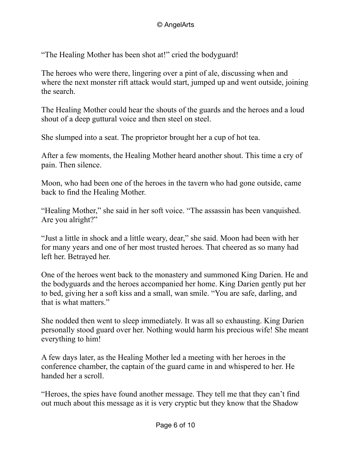"The Healing Mother has been shot at!" cried the bodyguard!

The heroes who were there, lingering over a pint of ale, discussing when and where the next monster rift attack would start, jumped up and went outside, joining the search.

The Healing Mother could hear the shouts of the guards and the heroes and a loud shout of a deep guttural voice and then steel on steel.

She slumped into a seat. The proprietor brought her a cup of hot tea.

After a few moments, the Healing Mother heard another shout. This time a cry of pain. Then silence.

Moon, who had been one of the heroes in the tavern who had gone outside, came back to find the Healing Mother.

"Healing Mother," she said in her soft voice. "The assassin has been vanquished. Are you alright?"

"Just a little in shock and a little weary, dear," she said. Moon had been with her for many years and one of her most trusted heroes. That cheered as so many had left her. Betrayed her.

One of the heroes went back to the monastery and summoned King Darien. He and the bodyguards and the heroes accompanied her home. King Darien gently put her to bed, giving her a soft kiss and a small, wan smile. "You are safe, darling, and that is what matters."

She nodded then went to sleep immediately. It was all so exhausting. King Darien personally stood guard over her. Nothing would harm his precious wife! She meant everything to him!

A few days later, as the Healing Mother led a meeting with her heroes in the conference chamber, the captain of the guard came in and whispered to her. He handed her a scroll.

"Heroes, the spies have found another message. They tell me that they can't find out much about this message as it is very cryptic but they know that the Shadow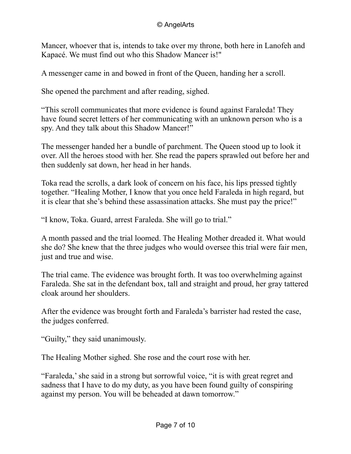Mancer, whoever that is, intends to take over my throne, both here in Lanofeh and Kapacé. We must find out who this Shadow Mancer is!"

A messenger came in and bowed in front of the Queen, handing her a scroll.

She opened the parchment and after reading, sighed.

"This scroll communicates that more evidence is found against Faraleda! They have found secret letters of her communicating with an unknown person who is a spy. And they talk about this Shadow Mancer!"

The messenger handed her a bundle of parchment. The Queen stood up to look it over. All the heroes stood with her. She read the papers sprawled out before her and then suddenly sat down, her head in her hands.

Toka read the scrolls, a dark look of concern on his face, his lips pressed tightly together. "Healing Mother, I know that you once held Faraleda in high regard, but it is clear that she's behind these assassination attacks. She must pay the price!"

"I know, Toka. Guard, arrest Faraleda. She will go to trial."

A month passed and the trial loomed. The Healing Mother dreaded it. What would she do? She knew that the three judges who would oversee this trial were fair men, just and true and wise.

The trial came. The evidence was brought forth. It was too overwhelming against Faraleda. She sat in the defendant box, tall and straight and proud, her gray tattered cloak around her shoulders.

After the evidence was brought forth and Faraleda's barrister had rested the case, the judges conferred.

"Guilty," they said unanimously.

The Healing Mother sighed. She rose and the court rose with her.

"Faraleda,' she said in a strong but sorrowful voice, "it is with great regret and sadness that I have to do my duty, as you have been found guilty of conspiring against my person. You will be beheaded at dawn tomorrow."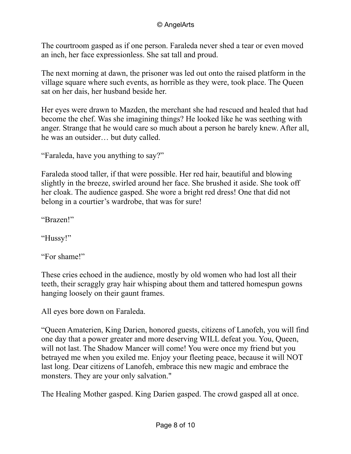## © AngelArts

The courtroom gasped as if one person. Faraleda never shed a tear or even moved an inch, her face expressionless. She sat tall and proud.

The next morning at dawn, the prisoner was led out onto the raised platform in the village square where such events, as horrible as they were, took place. The Queen sat on her dais, her husband beside her.

Her eyes were drawn to Mazden, the merchant she had rescued and healed that had become the chef. Was she imagining things? He looked like he was seething with anger. Strange that he would care so much about a person he barely knew. After all, he was an outsider… but duty called.

"Faraleda, have you anything to say?"

Faraleda stood taller, if that were possible. Her red hair, beautiful and blowing slightly in the breeze, swirled around her face. She brushed it aside. She took off her cloak. The audience gasped. She wore a bright red dress! One that did not belong in a courtier's wardrobe, that was for sure!

"Brazen!"

"Hussy!"

"For shame!"

These cries echoed in the audience, mostly by old women who had lost all their teeth, their scraggly gray hair whisping about them and tattered homespun gowns hanging loosely on their gaunt frames.

All eyes bore down on Faraleda.

"Queen Amaterien, King Darien, honored guests, citizens of Lanofeh, you will find one day that a power greater and more deserving WILL defeat you. You, Queen, will not last. The Shadow Mancer will come! You were once my friend but you betrayed me when you exiled me. Enjoy your fleeting peace, because it will NOT last long. Dear citizens of Lanofeh, embrace this new magic and embrace the monsters. They are your only salvation."

The Healing Mother gasped. King Darien gasped. The crowd gasped all at once.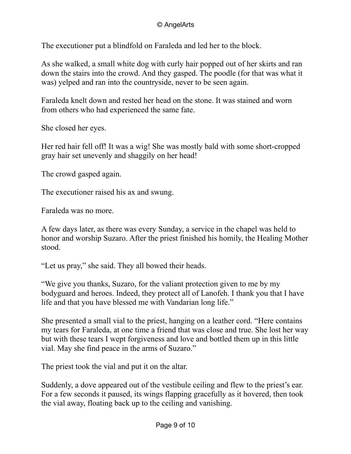The executioner put a blindfold on Faraleda and led her to the block.

As she walked, a small white dog with curly hair popped out of her skirts and ran down the stairs into the crowd. And they gasped. The poodle (for that was what it was) yelped and ran into the countryside, never to be seen again.

Faraleda knelt down and rested her head on the stone. It was stained and worn from others who had experienced the same fate.

She closed her eyes.

Her red hair fell off! It was a wig! She was mostly bald with some short-cropped gray hair set unevenly and shaggily on her head!

The crowd gasped again.

The executioner raised his ax and swung.

Faraleda was no more.

A few days later, as there was every Sunday, a service in the chapel was held to honor and worship Suzaro. After the priest finished his homily, the Healing Mother stood.

"Let us pray," she said. They all bowed their heads.

"We give you thanks, Suzaro, for the valiant protection given to me by my bodyguard and heroes. Indeed, they protect all of Lanofeh. I thank you that I have life and that you have blessed me with Vandarian long life."

She presented a small vial to the priest, hanging on a leather cord. "Here contains my tears for Faraleda, at one time a friend that was close and true. She lost her way but with these tears I wept forgiveness and love and bottled them up in this little vial. May she find peace in the arms of Suzaro."

The priest took the vial and put it on the altar.

Suddenly, a dove appeared out of the vestibule ceiling and flew to the priest's ear. For a few seconds it paused, its wings flapping gracefully as it hovered, then took the vial away, floating back up to the ceiling and vanishing.